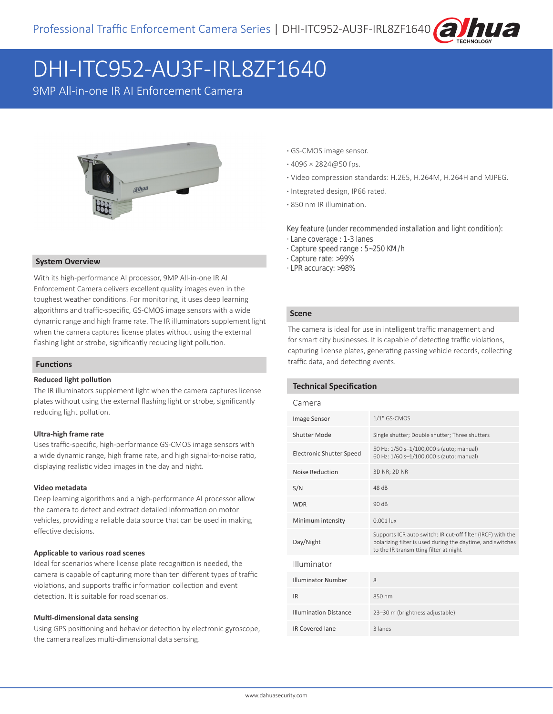

# DHI-ITC952-AU3F-IRL8ZF1640

9MP All-in-one IR AI Enforcement Camera



#### **System Overview**

With its high-performance AI processor, 9MP All-in-one IR AI Enforcement Camera delivers excellent quality images even in the toughest weather conditions. For monitoring, it uses deep learning algorithms and traffic-specific, GS-CMOS image sensors with a wide dynamic range and high frame rate. The IR illuminators supplement light when the camera captures license plates without using the external flashing light or strobe, significantly reducing light pollution.

#### **Functions**

#### **Reduced light pollution**

The IR illuminators supplement light when the camera captures license plates without using the external flashing light or strobe, significantly reducing light pollution.

#### **Ultra-high frame rate**

Uses traffic-specific, high-performance GS-CMOS image sensors with a wide dynamic range, high frame rate, and high signal-to-noise ratio, displaying realistic video images in the day and night.

#### **Video metadata**

Deep learning algorithms and a high-performance AI processor allow the camera to detect and extract detailed information on motor vehicles, providing a reliable data source that can be used in making effective decisions.

#### **Applicable to various road scenes**

Ideal for scenarios where license plate recognition is needed, the camera is capable of capturing more than ten different types of traffic violations, and supports traffic information collection and event detection. It is suitable for road scenarios.

#### **Multi-dimensional data sensing**

Using GPS positioning and behavior detection by electronic gyroscope, the camera realizes multi-dimensional data sensing.

- **·** GS-CMOS image sensor.
- **·** 4096 × 2824@50 fps.
- **·** Video compression standards: H.265, H.264M, H.264H and MJPEG.
- **·** Integrated design, IP66 rated.
- **·** 850 nm IR illumination.

Key feature (under recommended installation and light condition):

- · Lane coverage : 1-3 lanes
- · Capture speed range : 5~250 KM/h
- · Capture rate: >99%
- · LPR accuracy: >98%

#### **Scene**

The camera is ideal for use in intelligent traffic management and for smart city businesses. It is capable of detecting traffic violations, capturing license plates, generating passing vehicle records, collecting traffic data, and detecting events.

#### **Technical Specification**

#### Camera

| <b>Image Sensor</b>             | $1/1"$ GS-CMOS                                                                                                                                                      |  |
|---------------------------------|---------------------------------------------------------------------------------------------------------------------------------------------------------------------|--|
| Shutter Mode                    | Single shutter; Double shutter; Three shutters                                                                                                                      |  |
| <b>Electronic Shutter Speed</b> | 50 Hz: 1/50 s-1/100,000 s (auto; manual)<br>60 Hz: 1/60 s-1/100,000 s (auto; manual)                                                                                |  |
| Noise Reduction                 | 3D NR; 2D NR                                                                                                                                                        |  |
| S/N                             | 48 dB                                                                                                                                                               |  |
| <b>WDR</b>                      | 90dB                                                                                                                                                                |  |
| Minimum intensity               | $0.001$ lux                                                                                                                                                         |  |
| Day/Night                       | Supports ICR auto switch: IR cut-off filter (IRCF) with the<br>polarizing filter is used during the daytime, and switches<br>to the IR transmitting filter at night |  |
| Illuminator                     |                                                                                                                                                                     |  |
| <b>Illuminator Number</b>       | 8                                                                                                                                                                   |  |
| <b>IR</b>                       | 850 nm                                                                                                                                                              |  |
| <b>Illumination Distance</b>    | 23-30 m (brightness adjustable)                                                                                                                                     |  |
| <b>IR Covered lane</b>          | 3 lanes                                                                                                                                                             |  |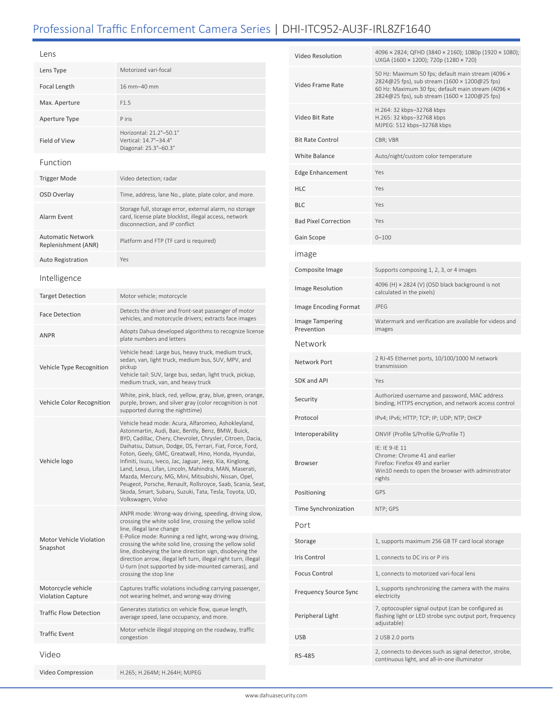# Professional Traffic Enforcement Camera Series | DHI-ITC952-AU3F-IRL8ZF1640

| Lens                                            |                                                                                                                                                                                                                                                                                                                                                                                                                                                                                                                                                                                                                     |  |
|-------------------------------------------------|---------------------------------------------------------------------------------------------------------------------------------------------------------------------------------------------------------------------------------------------------------------------------------------------------------------------------------------------------------------------------------------------------------------------------------------------------------------------------------------------------------------------------------------------------------------------------------------------------------------------|--|
| Lens Type                                       | Motorized vari-focal                                                                                                                                                                                                                                                                                                                                                                                                                                                                                                                                                                                                |  |
| Focal Length                                    | 16 mm-40 mm                                                                                                                                                                                                                                                                                                                                                                                                                                                                                                                                                                                                         |  |
| Max. Aperture                                   | F1.5                                                                                                                                                                                                                                                                                                                                                                                                                                                                                                                                                                                                                |  |
| Aperture Type                                   | P iris                                                                                                                                                                                                                                                                                                                                                                                                                                                                                                                                                                                                              |  |
| Field of View                                   | Horizontal: 21.2°-50.1°<br>Vertical: 14.7°-34.4°<br>Diagonal: 25.3°-60.3°                                                                                                                                                                                                                                                                                                                                                                                                                                                                                                                                           |  |
| Function                                        |                                                                                                                                                                                                                                                                                                                                                                                                                                                                                                                                                                                                                     |  |
| <b>Trigger Mode</b>                             | Video detection; radar                                                                                                                                                                                                                                                                                                                                                                                                                                                                                                                                                                                              |  |
| OSD Overlay                                     | Time, address, lane No., plate, plate color, and more.                                                                                                                                                                                                                                                                                                                                                                                                                                                                                                                                                              |  |
| Alarm Event                                     | Storage full, storage error, external alarm, no storage<br>card, license plate blocklist, illegal access, network<br>disconnection, and IP conflict                                                                                                                                                                                                                                                                                                                                                                                                                                                                 |  |
| <b>Automatic Network</b><br>Replenishment (ANR) | Platform and FTP (TF card is required)                                                                                                                                                                                                                                                                                                                                                                                                                                                                                                                                                                              |  |
| <b>Auto Registration</b>                        | Yes                                                                                                                                                                                                                                                                                                                                                                                                                                                                                                                                                                                                                 |  |
| Intelligence                                    |                                                                                                                                                                                                                                                                                                                                                                                                                                                                                                                                                                                                                     |  |
| <b>Target Detection</b>                         | Motor vehicle; motorcycle                                                                                                                                                                                                                                                                                                                                                                                                                                                                                                                                                                                           |  |
| <b>Face Detection</b>                           | Detects the driver and front-seat passenger of motor<br>vehicles, and motorcycle drivers; extracts face images                                                                                                                                                                                                                                                                                                                                                                                                                                                                                                      |  |
| <b>ANPR</b>                                     | Adopts Dahua developed algorithms to recognize license<br>plate numbers and letters                                                                                                                                                                                                                                                                                                                                                                                                                                                                                                                                 |  |
| Vehicle Type Recognition                        | Vehicle head: Large bus, heavy truck, medium truck,<br>sedan, van, light truck, medium bus, SUV, MPV, and<br>pickup<br>Vehicle tail: SUV, large bus, sedan, light truck, pickup,<br>medium truck, van, and heavy truck                                                                                                                                                                                                                                                                                                                                                                                              |  |
| Vehicle Color Recognition                       | White, pink, black, red, yellow, gray, blue, green, orange,<br>purple, brown, and silver gray (color recognition is not<br>supported during the nighttime)                                                                                                                                                                                                                                                                                                                                                                                                                                                          |  |
| Vehicle logo                                    | Vehicle head mode: Acura, Alfaromeo, Ashokleyland,<br>Astonmartin, Audi, Baic, Bently, Benz, BMW, Buick,<br>BYD, Cadillac, Chery, Chevrolet, Chrysler, Citroen, Dacia,<br>Daihatsu, Datsun, Dodge, DS, Ferrari, Fiat, Force, Ford,<br>Foton, Geely, GMC, Greatwall, Hino, Honda, Hyundai,<br>Infiniti, Isuzu, Iveco, Jac, Jaguar, Jeep, Kia, Kinglong,<br>Land, Lexus, Lifan, Lincoln, Mahindra, MAN, Maserati,<br>Mazda, Mercury, MG, Mini, Mitsubishi, Nissan, Opel,<br>Peugeot, Porsche, Renault, Rollsroyce, Saab, Scania, Seat,<br>Skoda, Smart, Subaru, Suzuki, Tata, Tesla, Toyota, UD,<br>Volkswagen, Volvo |  |
| Motor Vehicle Violation<br>Snapshot             | ANPR mode: Wrong-way driving, speeding, driving slow,<br>crossing the white solid line, crossing the yellow solid<br>line, illegal lane change<br>E-Police mode: Running a red light, wrong-way driving,<br>crossing the white solid line, crossing the yellow solid<br>line, disobeying the lane direction sign, disobeying the<br>direction arrow, illegal left turn, illegal right turn, illegal<br>U-turn (not supported by side-mounted cameras), and<br>crossing the stop line                                                                                                                                |  |
| Motorcycle vehicle<br><b>Violation Capture</b>  | Captures traffic violations including carrying passenger,<br>not wearing helmet, and wrong-way driving                                                                                                                                                                                                                                                                                                                                                                                                                                                                                                              |  |
| <b>Traffic Flow Detection</b>                   | Generates statistics on vehicle flow, queue length,<br>average speed, lane occupancy, and more.                                                                                                                                                                                                                                                                                                                                                                                                                                                                                                                     |  |
| <b>Traffic Event</b>                            | Motor vehicle illegal stopping on the roadway, traffic<br>congestion                                                                                                                                                                                                                                                                                                                                                                                                                                                                                                                                                |  |
| Video                                           |                                                                                                                                                                                                                                                                                                                                                                                                                                                                                                                                                                                                                     |  |
| Video Compression                               | H.265; H.264M; H.264H; MJPEG                                                                                                                                                                                                                                                                                                                                                                                                                                                                                                                                                                                        |  |

| Video Resolution                     | 4096 x 2824; QFHD (3840 x 2160); 1080p (1920 x 1080);<br>UXGA (1600 × 1200); 720p (1280 × 720)                                                                                                             |  |
|--------------------------------------|------------------------------------------------------------------------------------------------------------------------------------------------------------------------------------------------------------|--|
| Video Frame Rate                     | 50 Hz: Maximum 50 fps; default main stream (4096 x<br>2824@25 fps), sub stream (1600 × 1200@25 fps)<br>60 Hz: Maximum 30 fps; default main stream (4096 x<br>2824@25 fps), sub stream (1600 × 1200@25 fps) |  |
| Video Bit Rate                       | H.264: 32 kbps-32768 kbps<br>H.265: 32 kbps-32768 kbps<br>MJPEG: 512 kbps-32768 kbps                                                                                                                       |  |
| <b>Bit Rate Control</b>              | CBR; VBR                                                                                                                                                                                                   |  |
| White Balance                        | Auto/night/custom color temperature                                                                                                                                                                        |  |
| <b>Edge Enhancement</b>              | Yes                                                                                                                                                                                                        |  |
| HLC                                  | Yes                                                                                                                                                                                                        |  |
| BLC                                  | Yes                                                                                                                                                                                                        |  |
| <b>Bad Pixel Correction</b>          | Yes                                                                                                                                                                                                        |  |
| Gain Scope                           | $0 - 100$                                                                                                                                                                                                  |  |
| ımage                                |                                                                                                                                                                                                            |  |
| Composite Image                      | Supports composing 1, 2, 3, or 4 images                                                                                                                                                                    |  |
| <b>Image Resolution</b>              | 4096 (H) × 2824 (V) (OSD black background is not<br>calculated in the pixels)                                                                                                                              |  |
| Image Encoding Format                | JPEG                                                                                                                                                                                                       |  |
| <b>Image Tampering</b><br>Prevention | Watermark and verification are available for videos and<br>images                                                                                                                                          |  |
| Network                              |                                                                                                                                                                                                            |  |
| Network Port                         | 2 RJ-45 Ethernet ports, 10/100/1000 M network<br>transmission                                                                                                                                              |  |
| SDK and API                          | Yes                                                                                                                                                                                                        |  |
| Security                             | Authorized username and password, MAC address<br>binding, HTTPS encryption, and network access control                                                                                                     |  |
| Protocol                             | IPv4; IPv6; HTTP; TCP; IP; UDP; NTP; DHCP                                                                                                                                                                  |  |
| Interoperability                     | ONVIF (Profile S/Profile G/Profile T)                                                                                                                                                                      |  |
| <b>Browser</b>                       | IE: IE 9-IE 11<br>Chrome: Chrome 41 and earlier<br>Firefox: Firefox 49 and earlier<br>Win10 needs to open the browser with administrator<br>rights                                                         |  |
| Positioning                          | <b>GPS</b>                                                                                                                                                                                                 |  |
| Time Synchronization                 | NTP; GPS                                                                                                                                                                                                   |  |
| Port                                 |                                                                                                                                                                                                            |  |
| Storage                              | 1, supports maximum 256 GB TF card local storage                                                                                                                                                           |  |
| Iris Control                         | 1, connects to DC iris or P iris                                                                                                                                                                           |  |
| Focus Control                        | 1, connects to motorized vari-focal lens                                                                                                                                                                   |  |
| Frequency Source Sync                | 1, supports synchronizing the camera with the mains<br>electricity                                                                                                                                         |  |
| Peripheral Light                     | 7, optocoupler signal output (can be configured as<br>flashing light or LED strobe sync output port, frequency<br>adjustable)                                                                              |  |
| USB                                  | 2 USB 2.0 ports                                                                                                                                                                                            |  |
| RS-485                               | 2, connects to devices such as signal detector, strobe,<br>continuous light, and all-in-one illuminator                                                                                                    |  |
|                                      |                                                                                                                                                                                                            |  |